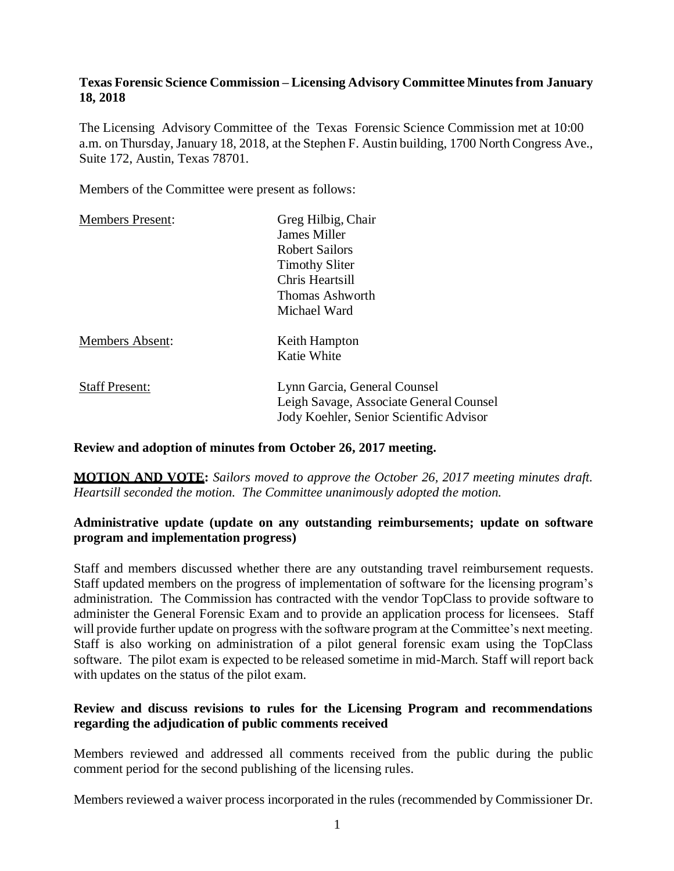## **Texas Forensic Science Commission – Licensing Advisory Committee Minutes from January 18, 2018**

The Licensing Advisory Committee of the Texas Forensic Science Commission met at 10:00 a.m. on Thursday, January 18, 2018, at the Stephen F. Austin building, 1700 North Congress Ave., Suite 172, Austin, Texas 78701.

Members of the Committee were present as follows:

| <b>Members Present:</b> | Greg Hilbig, Chair                                                      |
|-------------------------|-------------------------------------------------------------------------|
|                         | James Miller                                                            |
|                         | <b>Robert Sailors</b>                                                   |
|                         | <b>Timothy Sliter</b>                                                   |
|                         | Chris Heartsill                                                         |
|                         | Thomas Ashworth                                                         |
|                         | Michael Ward                                                            |
| <b>Members Absent:</b>  | Keith Hampton                                                           |
|                         | Katie White                                                             |
| <b>Staff Present:</b>   | Lynn Garcia, General Counsel<br>Leigh Savage, Associate General Counsel |
|                         | Jody Koehler, Senior Scientific Advisor                                 |

### **Review and adoption of minutes from October 26, 2017 meeting.**

**MOTION AND VOTE:** *Sailors moved to approve the October 26, 2017 meeting minutes draft. Heartsill seconded the motion. The Committee unanimously adopted the motion.*

# **Administrative update (update on any outstanding reimbursements; update on software program and implementation progress)**

Staff and members discussed whether there are any outstanding travel reimbursement requests. Staff updated members on the progress of implementation of software for the licensing program's administration. The Commission has contracted with the vendor TopClass to provide software to administer the General Forensic Exam and to provide an application process for licensees. Staff will provide further update on progress with the software program at the Committee's next meeting. Staff is also working on administration of a pilot general forensic exam using the TopClass software. The pilot exam is expected to be released sometime in mid-March. Staff will report back with updates on the status of the pilot exam.

## **Review and discuss revisions to rules for the Licensing Program and recommendations regarding the adjudication of public comments received**

Members reviewed and addressed all comments received from the public during the public comment period for the second publishing of the licensing rules.

Members reviewed a waiver process incorporated in the rules (recommended by Commissioner Dr.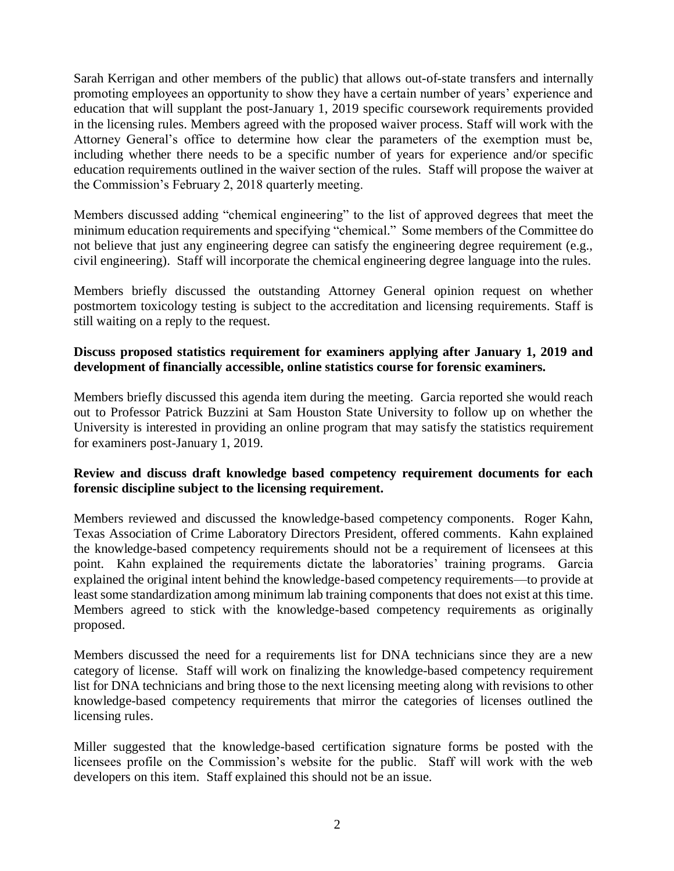Sarah Kerrigan and other members of the public) that allows out-of-state transfers and internally promoting employees an opportunity to show they have a certain number of years' experience and education that will supplant the post-January 1, 2019 specific coursework requirements provided in the licensing rules. Members agreed with the proposed waiver process. Staff will work with the Attorney General's office to determine how clear the parameters of the exemption must be, including whether there needs to be a specific number of years for experience and/or specific education requirements outlined in the waiver section of the rules. Staff will propose the waiver at the Commission's February 2, 2018 quarterly meeting.

Members discussed adding "chemical engineering" to the list of approved degrees that meet the minimum education requirements and specifying "chemical." Some members of the Committee do not believe that just any engineering degree can satisfy the engineering degree requirement (e.g., civil engineering). Staff will incorporate the chemical engineering degree language into the rules.

Members briefly discussed the outstanding Attorney General opinion request on whether postmortem toxicology testing is subject to the accreditation and licensing requirements. Staff is still waiting on a reply to the request.

## **Discuss proposed statistics requirement for examiners applying after January 1, 2019 and development of financially accessible, online statistics course for forensic examiners.**

Members briefly discussed this agenda item during the meeting. Garcia reported she would reach out to Professor Patrick Buzzini at Sam Houston State University to follow up on whether the University is interested in providing an online program that may satisfy the statistics requirement for examiners post-January 1, 2019.

## **Review and discuss draft knowledge based competency requirement documents for each forensic discipline subject to the licensing requirement.**

Members reviewed and discussed the knowledge-based competency components. Roger Kahn, Texas Association of Crime Laboratory Directors President, offered comments. Kahn explained the knowledge-based competency requirements should not be a requirement of licensees at this point. Kahn explained the requirements dictate the laboratories' training programs. Garcia explained the original intent behind the knowledge-based competency requirements—to provide at least some standardization among minimum lab training components that does not exist at this time. Members agreed to stick with the knowledge-based competency requirements as originally proposed.

Members discussed the need for a requirements list for DNA technicians since they are a new category of license. Staff will work on finalizing the knowledge-based competency requirement list for DNA technicians and bring those to the next licensing meeting along with revisions to other knowledge-based competency requirements that mirror the categories of licenses outlined the licensing rules.

Miller suggested that the knowledge-based certification signature forms be posted with the licensees profile on the Commission's website for the public. Staff will work with the web developers on this item. Staff explained this should not be an issue.